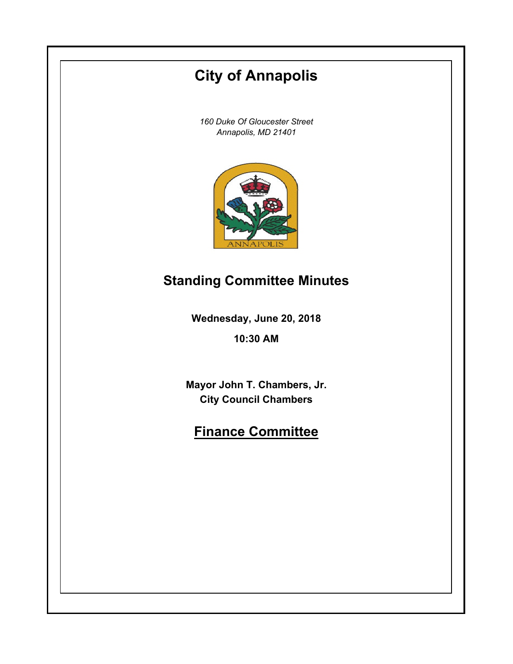# **City of Annapolis**

*160 Duke Of Gloucester Street Annapolis, MD 21401*



## **Standing Committee Minutes**

**Wednesday, June 20, 2018**

**10:30 AM**

**Mayor John T. Chambers, Jr. City Council Chambers**

## **Finance Committee**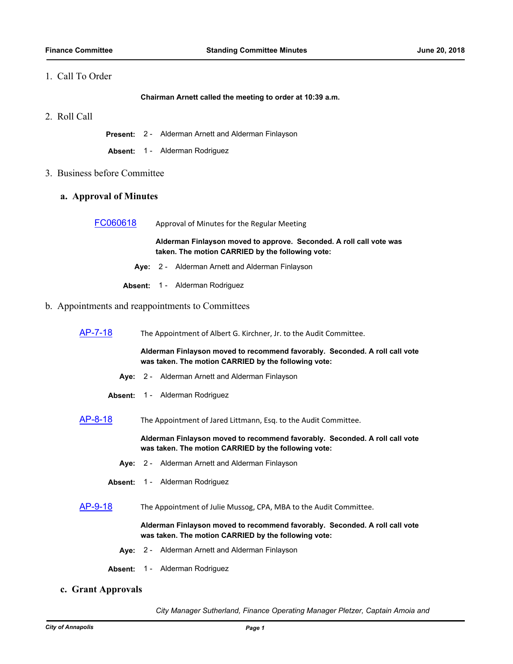### 1. Call To Order

**Chairman Arnett called the meeting to order at 10:39 a.m.**

2. Roll Call

**Present:** 2 - Alderman Arnett and Alderman Finlayson

**Absent:** 1 - Alderman Rodriguez

- 3. Business before Committee
	- **a. Approval of Minutes**

| FC060618 | Approval of Minutes for the Regular Meeting |
|----------|---------------------------------------------|
|          |                                             |

**Alderman Finlayson moved to approve. Seconded. A roll call vote was taken. The motion CARRIED by the following vote:**

- **Aye:** 2 Alderman Arnett and Alderman Finlayson
- **Absent:** 1 Alderman Rodriguez

### b. Appointments and reappointments to Committees

[AP-7-18](http://annapolismd.legistar.com/gateway.aspx?m=l&id=/matter.aspx?key=3734) The Appointment of Albert G. Kirchner, Jr. to the Audit Committee.

**Alderman Finlayson moved to recommend favorably. Seconded. A roll call vote was taken. The motion CARRIED by the following vote:**

- **Aye:** 2 Alderman Arnett and Alderman Finlayson
- **Absent:** 1 Alderman Rodriguez
- [AP-8-18](http://annapolismd.legistar.com/gateway.aspx?m=l&id=/matter.aspx?key=3735) The Appointment of Jared Littmann, Esq. to the Audit Committee.

**Alderman Finlayson moved to recommend favorably. Seconded. A roll call vote was taken. The motion CARRIED by the following vote:**

- **Aye:** 2 Alderman Arnett and Alderman Finlayson
- **Absent:** 1 Alderman Rodriguez

[AP-9-18](http://annapolismd.legistar.com/gateway.aspx?m=l&id=/matter.aspx?key=3736) The Appointment of Julie Mussog, CPA, MBA to the Audit Committee.

**Alderman Finlayson moved to recommend favorably. Seconded. A roll call vote was taken. The motion CARRIED by the following vote:**

- **Aye:** 2 Alderman Arnett and Alderman Finlayson
- **Absent:** 1 Alderman Rodriguez
- **c. Grant Approvals**

*City Manager Sutherland, Finance Operating Manager Pletzer, Captain Amoia and*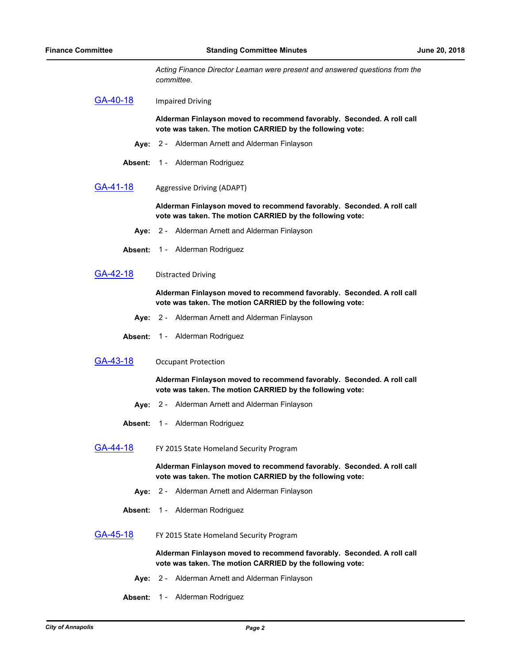*Acting Finance Director Leaman were present and answered questions from the committee.*

[GA-40-18](http://annapolismd.legistar.com/gateway.aspx?m=l&id=/matter.aspx?key=3737) Impaired Driving

**Alderman Finlayson moved to recommend favorably. Seconded. A roll call vote was taken. The motion CARRIED by the following vote:**

- **Aye:** 2 Alderman Arnett and Alderman Finlayson
- **Absent:** 1 Alderman Rodriguez
- [GA-41-18](http://annapolismd.legistar.com/gateway.aspx?m=l&id=/matter.aspx?key=3738) Aggressive Driving (ADAPT)

**Alderman Finlayson moved to recommend favorably. Seconded. A roll call vote was taken. The motion CARRIED by the following vote:**

- **Aye:** 2 Alderman Arnett and Alderman Finlayson
- **Absent:** 1 Alderman Rodriguez
- [GA-42-18](http://annapolismd.legistar.com/gateway.aspx?m=l&id=/matter.aspx?key=3739) Distracted Driving

**Alderman Finlayson moved to recommend favorably. Seconded. A roll call vote was taken. The motion CARRIED by the following vote:**

- **Aye:** 2 Alderman Arnett and Alderman Finlayson
- **Absent:** 1 Alderman Rodriguez
- [GA-43-18](http://annapolismd.legistar.com/gateway.aspx?m=l&id=/matter.aspx?key=3740) Occupant Protection

**Alderman Finlayson moved to recommend favorably. Seconded. A roll call vote was taken. The motion CARRIED by the following vote:**

- **Aye:** 2 Alderman Arnett and Alderman Finlayson
- **Absent:** 1 Alderman Rodriguez
- [GA-44-18](http://annapolismd.legistar.com/gateway.aspx?m=l&id=/matter.aspx?key=3741) FY 2015 State Homeland Security Program

**Alderman Finlayson moved to recommend favorably. Seconded. A roll call vote was taken. The motion CARRIED by the following vote:**

- **Aye:** 2 Alderman Arnett and Alderman Finlayson
- **Absent:** 1 Alderman Rodriguez
- [GA-45-18](http://annapolismd.legistar.com/gateway.aspx?m=l&id=/matter.aspx?key=3742) FY 2015 State Homeland Security Program

**Alderman Finlayson moved to recommend favorably. Seconded. A roll call vote was taken. The motion CARRIED by the following vote:**

- **Aye:** 2 Alderman Arnett and Alderman Finlayson
- **Absent:** 1 Alderman Rodriguez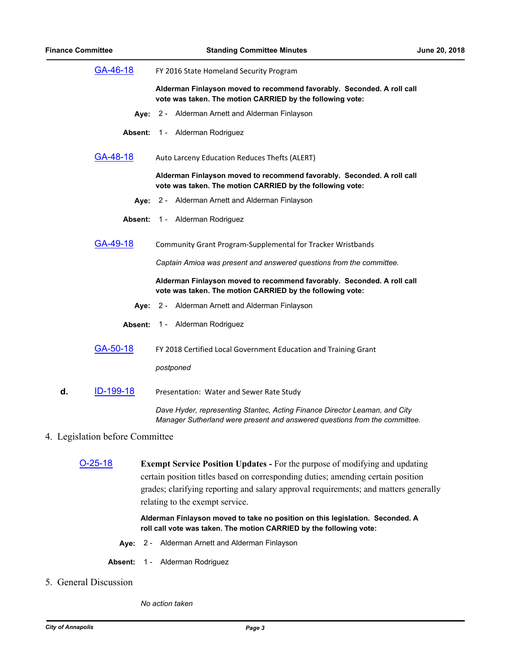| GA-46-18                        |         | FY 2016 State Homeland Security Program                                                                                                                  |  |
|---------------------------------|---------|----------------------------------------------------------------------------------------------------------------------------------------------------------|--|
|                                 |         | Alderman Finlayson moved to recommend favorably. Seconded. A roll call<br>vote was taken. The motion CARRIED by the following vote:                      |  |
|                                 |         | Aye: 2 - Alderman Arnett and Alderman Finlayson                                                                                                          |  |
|                                 | Absent: | 1 - Alderman Rodriguez                                                                                                                                   |  |
| GA-48-18                        |         | Auto Larceny Education Reduces Thefts (ALERT)                                                                                                            |  |
|                                 |         | Alderman Finlayson moved to recommend favorably. Seconded. A roll call<br>vote was taken. The motion CARRIED by the following vote:                      |  |
|                                 |         | Aye: 2 - Alderman Arnett and Alderman Finlayson                                                                                                          |  |
|                                 | Absent: | 1 - Alderman Rodriguez                                                                                                                                   |  |
| <u>GA-49-18</u>                 |         | Community Grant Program-Supplemental for Tracker Wristbands                                                                                              |  |
|                                 |         | Captain Amioa was present and answered questions from the committee.                                                                                     |  |
|                                 |         | Alderman Finlayson moved to recommend favorably. Seconded. A roll call<br>vote was taken. The motion CARRIED by the following vote:                      |  |
|                                 |         | Aye: 2 - Alderman Arnett and Alderman Finlayson                                                                                                          |  |
|                                 | Absent: | 1 - Alderman Rodriguez                                                                                                                                   |  |
| GA-50-18                        |         | FY 2018 Certified Local Government Education and Training Grant                                                                                          |  |
|                                 |         | postponed                                                                                                                                                |  |
| <u>ID-199-18</u><br>d.          |         | Presentation: Water and Sewer Rate Study                                                                                                                 |  |
|                                 |         | Dave Hyder, representing Stantec, Acting Finance Director Leaman, and City<br>Manager Sutherland were present and answered questions from the committee. |  |
| 4. Legislation before Committee |         |                                                                                                                                                          |  |

[O-25-18](http://annapolismd.legistar.com/gateway.aspx?m=l&id=/matter.aspx?key=3702) **Exempt Service Position Updates -** For the purpose of modifying and updating certain position titles based on corresponding duties; amending certain position grades; clarifying reporting and salary approval requirements; and matters generally relating to the exempt service.

> **Alderman Finlayson moved to take no position on this legislation. Seconded. A roll call vote was taken. The motion CARRIED by the following vote:**

- **Aye:** 2 Alderman Arnett and Alderman Finlayson
- **Absent:** 1 Alderman Rodriguez
- 5. General Discussion

#### *No action taken*